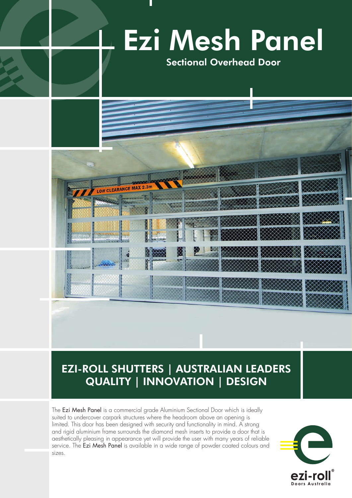

# EZI-ROLL SHUTTERS | AUSTRALIAN LEADERS QUALITY | INNOVATION | DESIGN

The Ezi Mesh Panel is a commercial grade Aluminium Sectional Door which is ideally suited to undercover carpark structures where the headroom above an opening is limited. This door has been designed with security and functionality in mind. A strong and rigid aluminium frame surrounds the diamond mesh inserts to provide a door that is aesthetically pleasing in appearance yet will provide the user with many years of reliable service. The Ezi Mesh Panel is available in a wide range of powder coated colours and sizes.